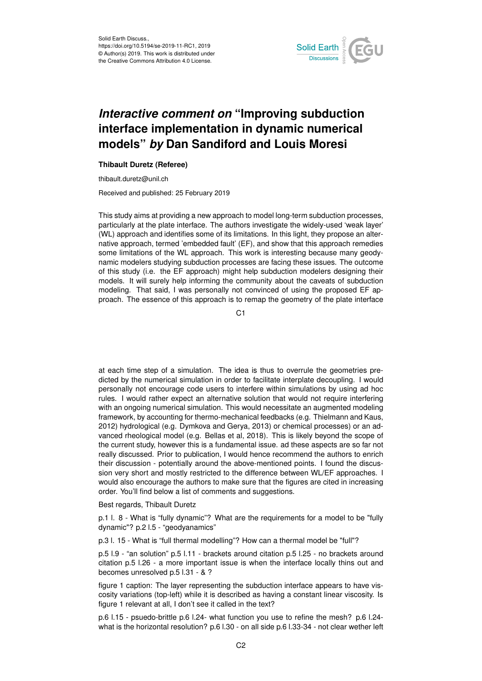

## *Interactive comment on* **"Improving subduction interface implementation in dynamic numerical models"** *by* **Dan Sandiford and Louis Moresi**

## **Thibault Duretz (Referee)**

thibault.duretz@unil.ch

Received and published: 25 February 2019

This study aims at providing a new approach to model long-term subduction processes, particularly at the plate interface. The authors investigate the widely-used 'weak layer' (WL) approach and identifies some of its limitations. In this light, they propose an alternative approach, termed 'embedded fault' (EF), and show that this approach remedies some limitations of the WL approach. This work is interesting because many geodynamic modelers studying subduction processes are facing these issues. The outcome of this study (i.e. the EF approach) might help subduction modelers designing their models. It will surely help informing the community about the caveats of subduction modeling. That said, I was personally not convinced of using the proposed EF approach. The essence of this approach is to remap the geometry of the plate interface

C<sub>1</sub>

at each time step of a simulation. The idea is thus to overrule the geometries predicted by the numerical simulation in order to facilitate interplate decoupling. I would personally not encourage code users to interfere within simulations by using ad hoc rules. I would rather expect an alternative solution that would not require interfering with an ongoing numerical simulation. This would necessitate an augmented modeling framework, by accounting for thermo-mechanical feedbacks (e.g. Thielmann and Kaus, 2012) hydrological (e.g. Dymkova and Gerya, 2013) or chemical processes) or an advanced rheological model (e.g. Bellas et al, 2018). This is likely beyond the scope of the current study, however this is a fundamental issue. ad these aspects are so far not really discussed. Prior to publication, I would hence recommend the authors to enrich their discussion - potentially around the above-mentioned points. I found the discussion very short and mostly restricted to the difference between WL/EF approaches. I would also encourage the authors to make sure that the figures are cited in increasing order. You'll find below a list of comments and suggestions.

Best regards, Thibault Duretz

p.1 l. 8 - What is "fully dynamic"? What are the requirements for a model to be "fully dynamic"? p.2 l.5 - "geodyanamics"

p.3 l. 15 - What is "full thermal modelling"? How can a thermal model be "full"?

p.5 l.9 - "an solution" p.5 l.11 - brackets around citation p.5 l.25 - no brackets around citation p.5 l.26 - a more important issue is when the interface locally thins out and becomes unresolved p.5 l.31 - & ?

figure 1 caption: The layer representing the subduction interface appears to have viscosity variations (top-left) while it is described as having a constant linear viscosity. Is figure 1 relevant at all, I don't see it called in the text?

p.6 l.15 - psuedo-brittle p.6 l.24- what function you use to refine the mesh? p.6 l.24 what is the horizontal resolution? p.6 l.30 - on all side p.6 l.33-34 - not clear wether left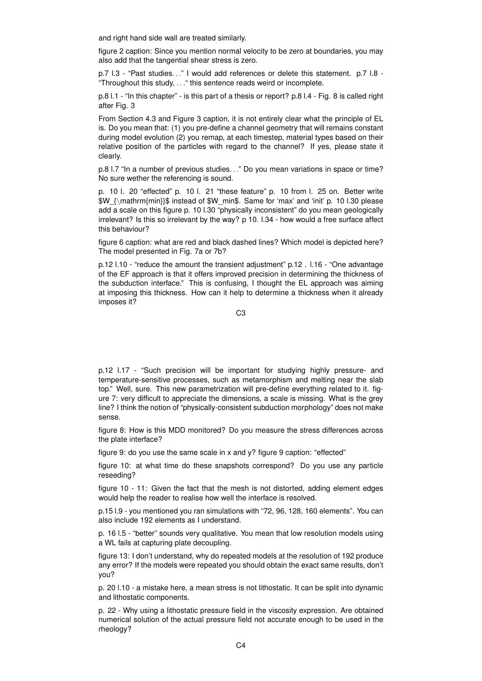and right hand side wall are treated similarly.

figure 2 caption: Since you mention normal velocity to be zero at boundaries, you may also add that the tangential shear stress is zero.

p.7 l.3 - "Past studies. . ." I would add references or delete this statement. p.7 l.8 - "Throughout this study, . . ." this sentence reads weird or incomplete.

p.8 l.1 - "In this chapter" - is this part of a thesis or report? p.8 l.4 - Fig. 8 is called right after Fig. 3

From Section 4.3 and Figure 3 caption, it is not entirely clear what the principle of EL is. Do you mean that: (1) you pre-define a channel geometry that will remains constant during model evolution (2) you remap, at each timestep, material types based on their relative position of the particles with regard to the channel? If yes, please state it clearly.

p.8 I.7 "In a number of previous studies..." Do you mean variations in space or time? No sure wether the referencing is sound.

p. 10 l. 20 "effected" p. 10 l. 21 "these feature" p. 10 from l. 25 on. Better write \$W\_{\mathrm{min}}\$ instead of \$W\_min\$. Same for 'max' and 'init' p. 10 l.30 please add a scale on this figure p. 10 l.30 "physically inconsistent" do you mean geologically irrelevant? Is this so irrelevant by the way? p 10. l.34 - how would a free surface affect this behaviour?

figure 6 caption: what are red and black dashed lines? Which model is depicted here? The model presented in Fig. 7a or 7b?

p.12 l.10 - "reduce the amount the transient adjustment" p.12 . l.16 - "One advantage of the EF approach is that it offers improved precision in determining the thickness of the subduction interface." This is confusing, I thought the EL approach was aiming at imposing this thickness. How can it help to determine a thickness when it already imposes it?

C3

p.12 l.17 - "Such precision will be important for studying highly pressure- and temperature-sensitive processes, such as metamorphism and melting near the slab top." Well, sure. This new parametrization will pre-define everything related to it. figure 7: very difficult to appreciate the dimensions, a scale is missing. What is the grey line? I think the notion of "physically-consistent subduction morphology" does not make sense.

figure 8: How is this MDD monitored? Do you measure the stress differences across the plate interface?

figure 9: do you use the same scale in x and y? figure 9 caption: "effected"

figure 10: at what time do these snapshots correspond? Do you use any particle reseeding?

figure 10 - 11: Given the fact that the mesh is not distorted, adding element edges would help the reader to realise how well the interface is resolved.

p.15 l.9 - you mentioned you ran simulations with "72, 96, 128, 160 elements". You can also include 192 elements as I understand.

p. 16 l.5 - "better" sounds very qualitative. You mean that low resolution models using a WL fails at capturing plate decoupling.

figure 13: I don't understand, why do repeated models at the resolution of 192 produce any error? If the models were repeated you should obtain the exact same results, don't you?

p. 20 l.10 - a mistake here, a mean stress is not lithostatic. It can be split into dynamic and lithostatic components.

p. 22 - Why using a lithostatic pressure field in the viscosity expression. Are obtained numerical solution of the actual pressure field not accurate enough to be used in the rheology?